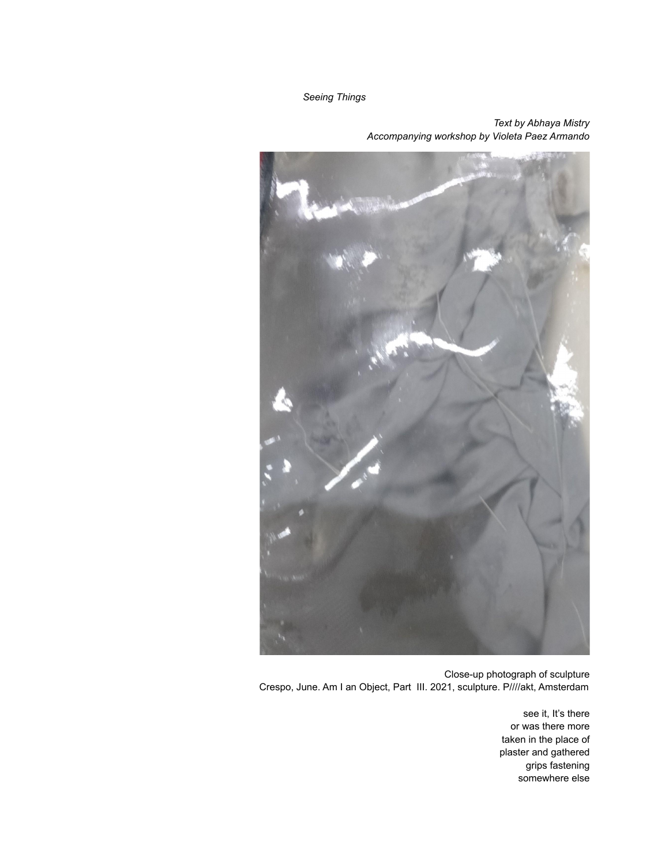*Seeing Things*

## *Text by Abhaya Mistry Accompanying workshop by Violeta Paez Armando*



Close-up photograph of sculpture Crespo, June. Am I an Object, Part III. 2021, sculpture. P////akt, Amsterdam

> see it, It's there or was there more taken in the place of plaster and gathered grips fastening somewhere else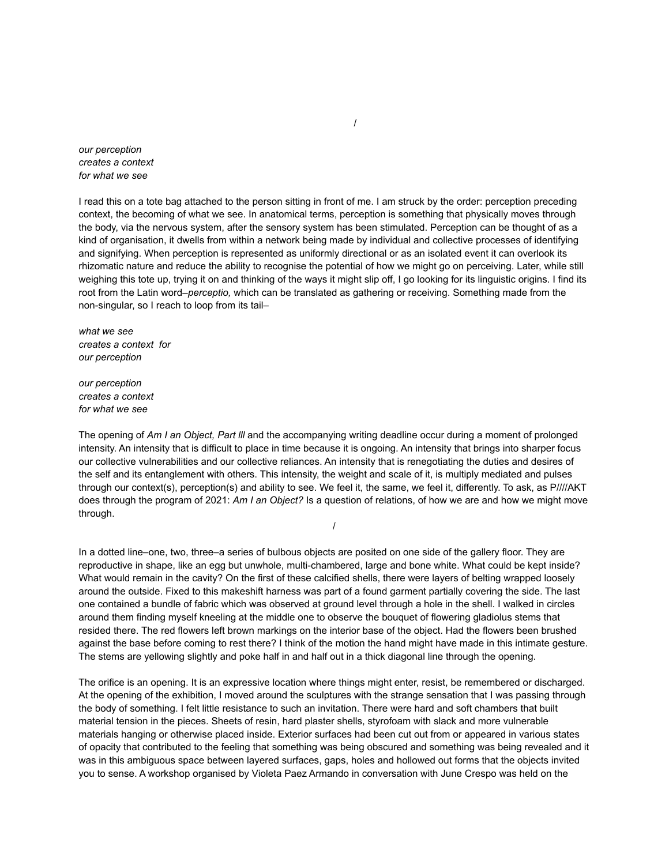*our perception creates a context for what we see*

I read this on a tote bag attached to the person sitting in front of me. I am struck by the order: perception preceding context, the becoming of what we see. In anatomical terms, perception is something that physically moves through the body, via the nervous system, after the sensory system has been stimulated. Perception can be thought of as a kind of organisation, it dwells from within a network being made by individual and collective processes of identifying and signifying. When perception is represented as uniformly directional or as an isolated event it can overlook its rhizomatic nature and reduce the ability to recognise the potential of how we might go on perceiving. Later, while still weighing this tote up, trying it on and thinking of the ways it might slip off, I go looking for its linguistic origins. I find its root from the Latin word–*perceptio,* which can be translated as gathering or receiving. Something made from the non-singular, so I reach to loop from its tail–

*what we see creates a context for our perception*

*our perception creates a context for what we see*

The opening of *Am I an Object, Part lll* and the accompanying writing deadline occur during a moment of prolonged intensity. An intensity that is difficult to place in time because it is ongoing. An intensity that brings into sharper focus our collective vulnerabilities and our collective reliances. An intensity that is renegotiating the duties and desires of the self and its entanglement with others. This intensity, the weight and scale of it, is multiply mediated and pulses through our context(s), perception(s) and ability to see. We feel it, the same, we feel it, differently. To ask, as P////AKT does through the program of 2021: *Am I an Object?* Is a question of relations, of how we are and how we might move through.

/

In a dotted line–one, two, three–a series of bulbous objects are posited on one side of the gallery floor. They are reproductive in shape, like an egg but unwhole, multi-chambered, large and bone white. What could be kept inside? What would remain in the cavity? On the first of these calcified shells, there were layers of belting wrapped loosely around the outside. Fixed to this makeshift harness was part of a found garment partially covering the side. The last one contained a bundle of fabric which was observed at ground level through a hole in the shell. I walked in circles around them finding myself kneeling at the middle one to observe the bouquet of flowering gladiolus stems that resided there. The red flowers left brown markings on the interior base of the object. Had the flowers been brushed against the base before coming to rest there? I think of the motion the hand might have made in this intimate gesture. The stems are yellowing slightly and poke half in and half out in a thick diagonal line through the opening.

The orifice is an opening. It is an expressive location where things might enter, resist, be remembered or discharged. At the opening of the exhibition, I moved around the sculptures with the strange sensation that I was passing through the body of something. I felt little resistance to such an invitation. There were hard and soft chambers that built material tension in the pieces. Sheets of resin, hard plaster shells, styrofoam with slack and more vulnerable materials hanging or otherwise placed inside. Exterior surfaces had been cut out from or appeared in various states of opacity that contributed to the feeling that something was being obscured and something was being revealed and it was in this ambiguous space between layered surfaces, gaps, holes and hollowed out forms that the objects invited you to sense. A workshop organised by Violeta Paez Armando in conversation with June Crespo was held on the

/